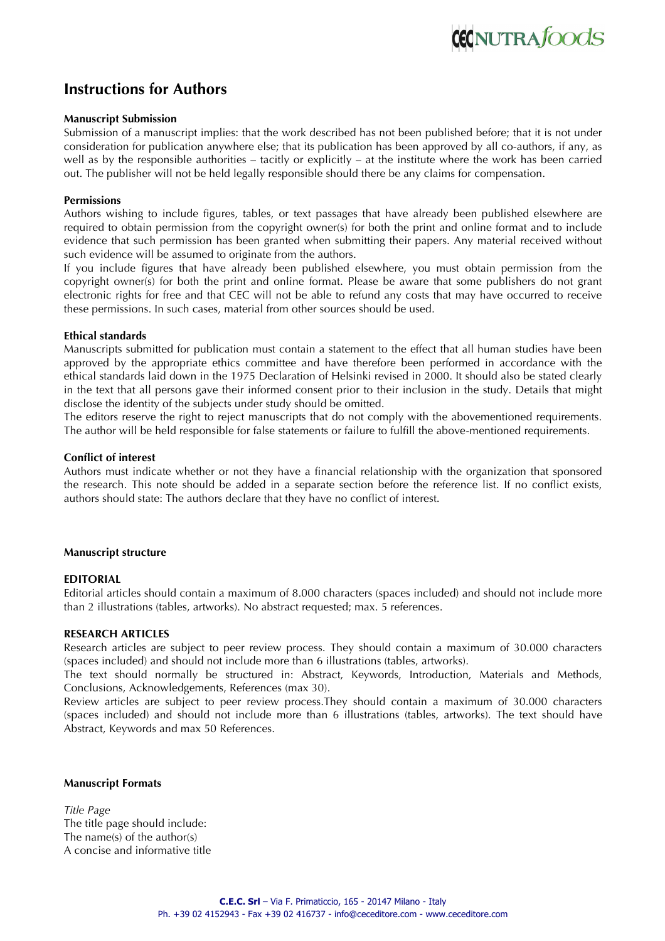# **Instructions for Authors**

# **Manuscript Submission**

Submission of a manuscript implies: that the work described has not been published before; that it is not under consideration for publication anywhere else; that its publication has been approved by all co-authors, if any, as well as by the responsible authorities – tacitly or explicitly – at the institute where the work has been carried out. The publisher will not be held legally responsible should there be any claims for compensation.

# **Permissions**

Authors wishing to include figures, tables, or text passages that have already been published elsewhere are required to obtain permission from the copyright owner(s) for both the print and online format and to include evidence that such permission has been granted when submitting their papers. Any material received without such evidence will be assumed to originate from the authors.

If you include figures that have already been published elsewhere, you must obtain permission from the copyright owner(s) for both the print and online format. Please be aware that some publishers do not grant electronic rights for free and that CEC will not be able to refund any costs that may have occurred to receive these permissions. In such cases, material from other sources should be used.

# **Ethical standards**

Manuscripts submitted for publication must contain a statement to the effect that all human studies have been approved by the appropriate ethics committee and have therefore been performed in accordance with the ethical standards laid down in the 1975 Declaration of Helsinki revised in 2000. It should also be stated clearly in the text that all persons gave their informed consent prior to their inclusion in the study. Details that might disclose the identity of the subjects under study should be omitted.

The editors reserve the right to reject manuscripts that do not comply with the abovementioned requirements. The author will be held responsible for false statements or failure to fulfill the above-mentioned requirements.

# **Conflict of interest**

Authors must indicate whether or not they have a financial relationship with the organization that sponsored the research. This note should be added in a separate section before the reference list. If no conflict exists, authors should state: The authors declare that they have no conflict of interest.

# **Manuscript structure**

# **EDITORIAL**

Editorial articles should contain a maximum of 8.000 characters (spaces included) and should not include more than 2 illustrations (tables, artworks). No abstract requested; max. 5 references.

# **RESEARCH ARTICLES**

Research articles are subject to peer review process. They should contain a maximum of 30.000 characters (spaces included) and should not include more than 6 illustrations (tables, artworks).

The text should normally be structured in: Abstract, Keywords, Introduction, Materials and Methods, Conclusions, Acknowledgements, References (max 30).

Review articles are subject to peer review process.They should contain a maximum of 30.000 characters (spaces included) and should not include more than 6 illustrations (tables, artworks). The text should have Abstract, Keywords and max 50 References.

# **Manuscript Formats**

*Title Page* The title page should include: The name(s) of the author(s) A concise and informative title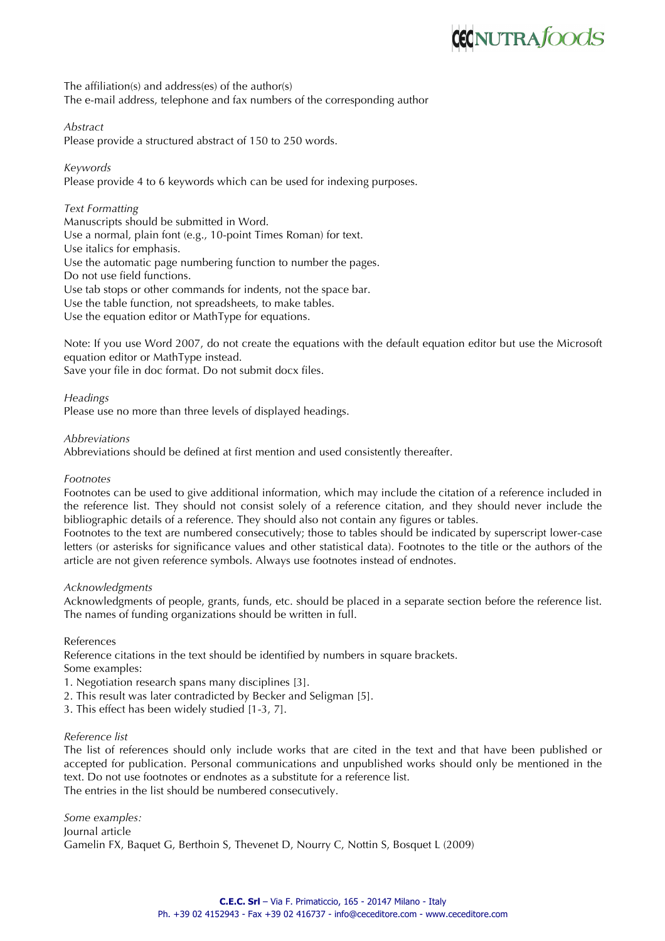# **CECNUTRA**foods

The affiliation(s) and address(es) of the author(s) The e-mail address, telephone and fax numbers of the corresponding author

*Abstract*

Please provide a structured abstract of 150 to 250 words.

*Keywords*

Please provide 4 to 6 keywords which can be used for indexing purposes.

*Text Formatting* Manuscripts should be submitted in Word. Use a normal, plain font (e.g., 10-point Times Roman) for text. Use italics for emphasis. Use the automatic page numbering function to number the pages. Do not use field functions. Use tab stops or other commands for indents, not the space bar. Use the table function, not spreadsheets, to make tables. Use the equation editor or MathType for equations.

Note: If you use Word 2007, do not create the equations with the default equation editor but use the Microsoft equation editor or MathType instead.

Save your file in doc format. Do not submit docx files.

# *Headings*

Please use no more than three levels of displayed headings.

*Abbreviations*

Abbreviations should be defined at first mention and used consistently thereafter.

*Footnotes*

Footnotes can be used to give additional information, which may include the citation of a reference included in the reference list. They should not consist solely of a reference citation, and they should never include the bibliographic details of a reference. They should also not contain any figures or tables.

Footnotes to the text are numbered consecutively; those to tables should be indicated by superscript lower-case letters (or asterisks for significance values and other statistical data). Footnotes to the title or the authors of the article are not given reference symbols. Always use footnotes instead of endnotes.

# *Acknowledgments*

Acknowledgments of people, grants, funds, etc. should be placed in a separate section before the reference list. The names of funding organizations should be written in full.

# References

Reference citations in the text should be identified by numbers in square brackets.

Some examples:

1. Negotiation research spans many disciplines [3].

- 2. This result was later contradicted by Becker and Seligman [5].
- 3. This effect has been widely studied [1-3, 7].

# *Reference list*

The list of references should only include works that are cited in the text and that have been published or accepted for publication. Personal communications and unpublished works should only be mentioned in the text. Do not use footnotes or endnotes as a substitute for a reference list. The entries in the list should be numbered consecutively.

*Some examples:* Journal article Gamelin FX, Baquet G, Berthoin S, Thevenet D, Nourry C, Nottin S, Bosquet L (2009)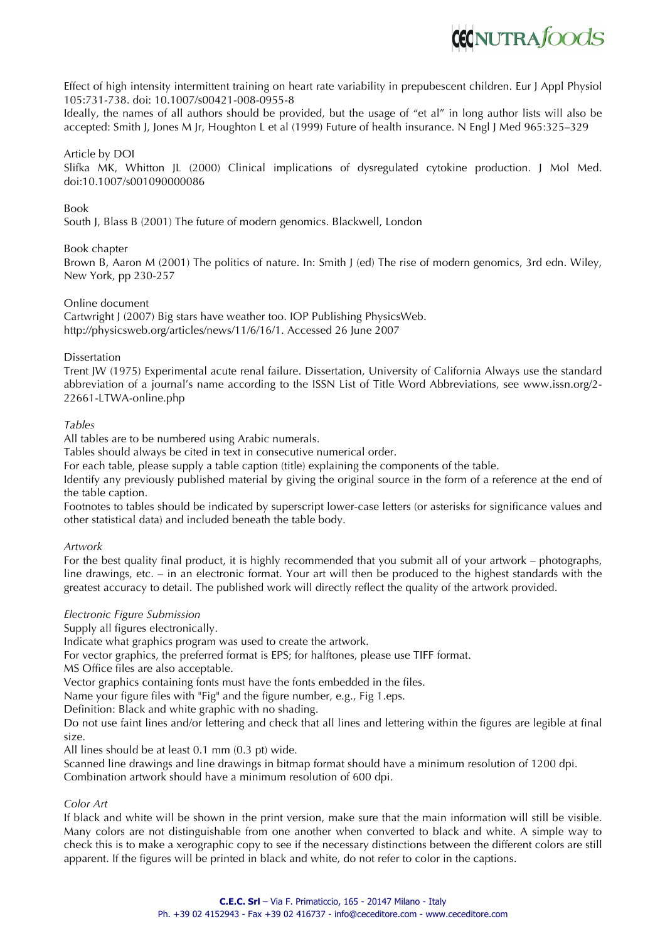

Effect of high intensity intermittent training on heart rate variability in prepubescent children. Eur J Appl Physiol 105:731-738. doi: 10.1007/s00421-008-0955-8

Ideally, the names of all authors should be provided, but the usage of "et al" in long author lists will also be accepted: Smith J, Jones M Jr, Houghton L et al (1999) Future of health insurance. N Engl J Med 965:325–329

#### Article by DOI

Slifka MK, Whitton JL (2000) Clinical implications of dysregulated cytokine production. J Mol Med. doi:10.1007/s001090000086

#### Book

South J, Blass B (2001) The future of modern genomics. Blackwell, London

#### Book chapter

Brown B, Aaron M (2001) The politics of nature. In: Smith J (ed) The rise of modern genomics, 3rd edn. Wiley, New York, pp 230-257

#### Online document

Cartwright J (2007) Big stars have weather too. IOP Publishing PhysicsWeb. http://physicsweb.org/articles/news/11/6/16/1. Accessed 26 June 2007

#### Dissertation

Trent JW (1975) Experimental acute renal failure. Dissertation, University of California Always use the standard abbreviation of a journal's name according to the ISSN List of Title Word Abbreviations, see www.issn.org/2- 22661-LTWA-online.php

#### *Tables*

All tables are to be numbered using Arabic numerals.

Tables should always be cited in text in consecutive numerical order.

For each table, please supply a table caption (title) explaining the components of the table.

Identify any previously published material by giving the original source in the form of a reference at the end of the table caption.

Footnotes to tables should be indicated by superscript lower-case letters (or asterisks for significance values and other statistical data) and included beneath the table body.

#### *Artwork*

For the best quality final product, it is highly recommended that you submit all of your artwork – photographs, line drawings, etc. – in an electronic format. Your art will then be produced to the highest standards with the greatest accuracy to detail. The published work will directly reflect the quality of the artwork provided.

#### *Electronic Figure Submission*

Supply all figures electronically.

Indicate what graphics program was used to create the artwork.

For vector graphics, the preferred format is EPS; for halftones, please use TIFF format.

MS Office files are also acceptable.

Vector graphics containing fonts must have the fonts embedded in the files.

Name your figure files with "Fig" and the figure number, e.g., Fig 1.eps.

Definition: Black and white graphic with no shading.

Do not use faint lines and/or lettering and check that all lines and lettering within the figures are legible at final size.

All lines should be at least 0.1 mm (0.3 pt) wide.

Scanned line drawings and line drawings in bitmap format should have a minimum resolution of 1200 dpi. Combination artwork should have a minimum resolution of 600 dpi.

# *Color Art*

If black and white will be shown in the print version, make sure that the main information will still be visible. Many colors are not distinguishable from one another when converted to black and white. A simple way to check this is to make a xerographic copy to see if the necessary distinctions between the different colors are still apparent. If the figures will be printed in black and white, do not refer to color in the captions.